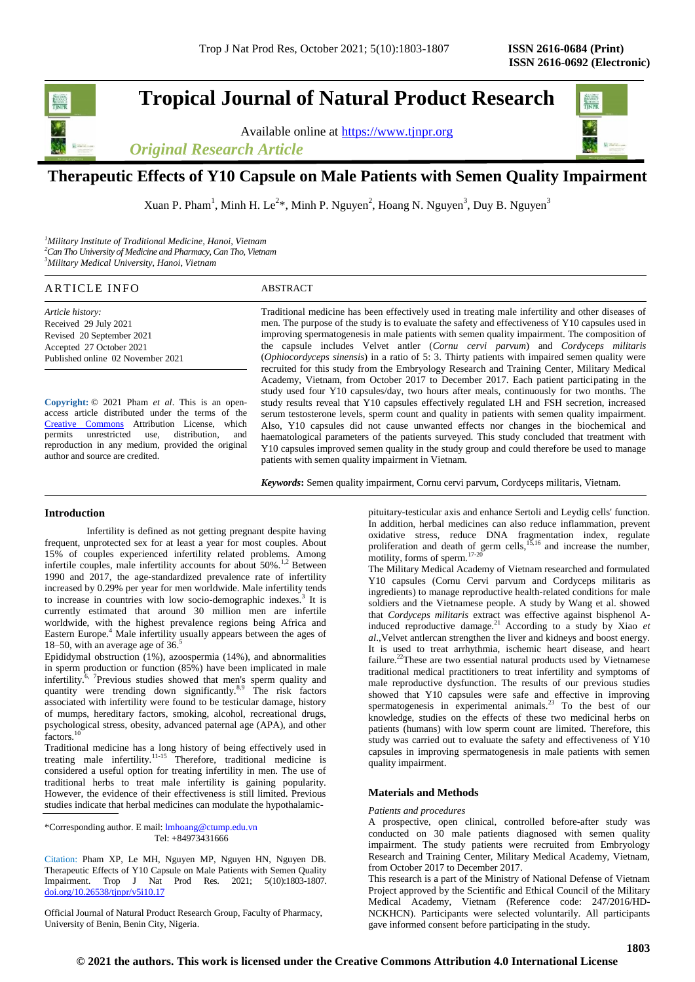# **Tropical Journal of Natural Product Research**

Available online at [https://www.tjnpr.org](https://www.tjnpr.org/)





# **Therapeutic Effects of Y10 Capsule on Male Patients with Semen Quality Impairment**

Xuan P. Pham<sup>1</sup>, Minh H. Le<sup>2\*</sup>, Minh P. Nguyen<sup>2</sup>, Hoang N. Nguyen<sup>3</sup>, Duy B. Nguyen<sup>3</sup>

*<sup>1</sup>Military Institute of Traditional Medicine, Hanoi, Vietnam <sup>2</sup>Can Tho University of Medicine and Pharmacy, Can Tho, Vietnam <sup>3</sup>Military Medical University, Hanoi, Vietnam*

# ARTICLE INFO ABSTRACT

*Article history:* Received 29 July 2021 Revised 20 September 2021 Accepted 27 October 2021 Published online 02 November 2021

**Copyright:** © 2021 Pham *et al*. This is an openaccess article distributed under the terms of the [Creative Commons](https://creativecommons.org/licenses/by/4.0/) Attribution License, which permits unrestricted use, distribution, and reproduction in any medium, provided the original author and source are credited.

Traditional medicine has been effectively used in treating male infertility and other diseases of men. The purpose of the study is to evaluate the safety and effectiveness of Y10 capsules used in improving spermatogenesis in male patients with semen quality impairment. The composition of the capsule includes Velvet antler (*Cornu cervi parvum*) and *Cordyceps militaris* (*Ophiocordyceps sinensis*) in a ratio of 5: 3. Thirty patients with impaired semen quality were recruited for this study from the Embryology Research and Training Center, Military Medical Academy, Vietnam, from October 2017 to December 2017. Each patient participating in the study used four Y10 capsules/day, two hours after meals, continuously for two months. The study results reveal that Y10 capsules effectively regulated LH and FSH secretion, increased serum testosterone levels, sperm count and quality in patients with semen quality impairment. Also, Y10 capsules did not cause unwanted effects nor changes in the biochemical and haematological parameters of the patients surveyed. This study concluded that treatment with Y10 capsules improved semen quality in the study group and could therefore be used to manage patients with semen quality impairment in Vietnam.

*Keywords***:** Semen quality impairment, Cornu cervi parvum, Cordyceps militaris, Vietnam.

## **Introduction**

Infertility is defined as not getting pregnant despite having frequent, unprotected sex for at least a year for most couples. About 15% of couples experienced infertility related problems. Among infertile couples, male infertility accounts for about 50%.<sup>1,2</sup> Between 1990 and 2017, the age-standardized prevalence rate of infertility increased by 0.29% per year for men worldwide. Male infertility tends to increase in countries with low socio-demographic indexes.<sup>3</sup> It is currently estimated that around 30 million men are infertile worldwide, with the highest prevalence regions being Africa and Eastern Europe.<sup>4</sup> Male infertility usually appears between the ages of 18–50, with an average age of  $36<sup>5</sup>$ 

Epididymal obstruction (1%), azoospermia (14%), and abnormalities in sperm production or function (85%) have been implicated in male infertility.<sup> $6, 7$ </sup>Previous studies showed that men's sperm quality and quantity were trending down significantly.<sup>8,9</sup> The risk factors associated with infertility were found to be testicular damage, history of mumps, hereditary factors, smoking, alcohol, recreational drugs, psychological stress, obesity, advanced paternal age (APA), and other factors.<sup>10</sup>

Traditional medicine has a long history of being effectively used in treating male infertility.<sup>11-15</sup> Therefore, traditional medicine is considered a useful option for treating infertility in men. The use of traditional herbs to treat male infertility is gaining popularity. However, the evidence of their effectiveness is still limited. Previous studies indicate that herbal medicines can modulate the hypothalamic-

\*Corresponding author. E mail[: lmhoang@ctump.edu.vn](mailto:lmhoang@ctump.edu.vn) Tel: +84973431666

Citation: Pham XP, Le MH, Nguyen MP, Nguyen HN, Nguyen DB. Therapeutic Effects of Y10 Capsule on Male Patients with Semen Quality Impairment. Trop J Nat Prod Res. 2021; 5(10):1803-1807. [doi.org/10.26538/tjnpr/v5i10.1](http://www.doi.org/10.26538/tjnpr/v1i4.5)7

Official Journal of Natural Product Research Group, Faculty of Pharmacy, University of Benin, Benin City, Nigeria.

pituitary-testicular axis and enhance Sertoli and Leydig cells' function. In addition, herbal medicines can also reduce inflammation, prevent oxidative stress, reduce DNA fragmentation index, regulate proliferation and death of germ cells,  $15,16$  and increase the number, motility, forms of sperm. $17-20$ 

The Military Medical Academy of Vietnam researched and formulated Y10 capsules (Cornu Cervi parvum and Cordyceps militaris as ingredients) to manage reproductive health-related conditions for male soldiers and the Vietnamese people. A study by Wang et al. showed that *Cordyceps militaris* extract was effective against bisphenol Ainduced reproductive damage.<sup>21</sup> According to a study by Xiao *et al*.,Velvet antlercan strengthen the liver and kidneys and boost energy. It is used to treat arrhythmia, ischemic heart disease, and heart failure.<sup>22</sup>These are two essential natural products used by Vietnamese traditional medical practitioners to treat infertility and symptoms of male reproductive dysfunction. The results of our previous studies showed that Y10 capsules were safe and effective in improving spermatogenesis in experimental animals.<sup>23</sup> To the best of our knowledge, studies on the effects of these two medicinal herbs on patients (humans) with low sperm count are limited. Therefore, this study was carried out to evaluate the safety and effectiveness of Y10 capsules in improving spermatogenesis in male patients with semen quality impairment.

#### **Materials and Methods**

#### *Patients and procedures*

A prospective, open clinical, controlled before-after study was conducted on 30 male patients diagnosed with semen quality impairment. The study patients were recruited from Embryology Research and Training Center, Military Medical Academy, Vietnam, from October 2017 to December 2017.

This research is a part of the Ministry of National Defense of Vietnam Project approved by the Scientific and Ethical Council of the Military Medical Academy, Vietnam (Reference code: 247/2016/HD-NCKHCN). Participants were selected voluntarily. All participants gave informed consent before participating in the study.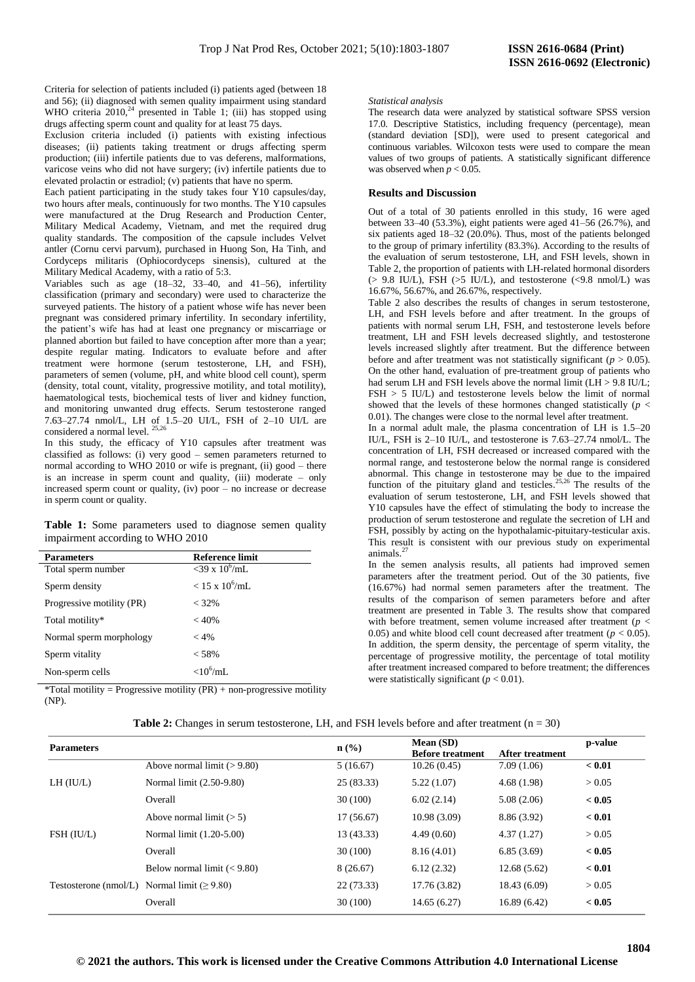Criteria for selection of patients included (i) patients aged (between 18 and 56); (ii) diagnosed with semen quality impairment using standard WHO criteria  $2010<sup>24</sup>$  presented in Table 1; (iii) has stopped using drugs affecting sperm count and quality for at least 75 days.

Exclusion criteria included (i) patients with existing infectious diseases; (ii) patients taking treatment or drugs affecting sperm production; (iii) infertile patients due to vas deferens, malformations, varicose veins who did not have surgery; (iv) infertile patients due to elevated prolactin or estradiol; (v) patients that have no sperm.

Each patient participating in the study takes four Y10 capsules/day, two hours after meals, continuously for two months. The Y10 capsules were manufactured at the Drug Research and Production Center, Military Medical Academy, Vietnam, and met the required drug quality standards. The composition of the capsule includes Velvet antler (Cornu cervi parvum), purchased in Huong Son, Ha Tinh, and Cordyceps militaris (Ophiocordyceps sinensis), cultured at the Military Medical Academy, with a ratio of 5:3.

Variables such as age (18–32, 33–40, and 41–56), infertility classification (primary and secondary) were used to characterize the surveyed patients. The history of a patient whose wife has never been pregnant was considered primary infertility. In secondary infertility, the patient's wife has had at least one pregnancy or miscarriage or planned abortion but failed to have conception after more than a year; despite regular mating. Indicators to evaluate before and after treatment were hormone (serum testosterone, LH, and FSH), parameters of semen (volume, pH, and white blood cell count), sperm (density, total count, vitality, progressive motility, and total motility), haematological tests, biochemical tests of liver and kidney function, and monitoring unwanted drug effects. Serum testosterone ranged 7.63–27.74 nmol/L, LH of 1.5–20 UI/L, FSH of 2–10 UI/L are considered a normal level.  $25,26$ 

In this study, the efficacy of Y10 capsules after treatment was classified as follows: (i) very good – semen parameters returned to normal according to WHO 2010 or wife is pregnant, (ii) good – there is an increase in sperm count and quality, (iii) moderate – only increased sperm count or quality, (iv) poor – no increase or decrease in sperm count or quality.

Table 1: Some parameters used to diagnose semen quality impairment according to WHO 2010

| <b>Parameters</b>         | <b>Reference limit</b>       |
|---------------------------|------------------------------|
| Total sperm number        | $<$ 39 x 10 <sup>6</sup> /mL |
| Sperm density             | $< 15 \times 10^6$ /mL       |
| Progressive motility (PR) | $<$ 32%                      |
| Total motility*           | < 40%                        |
| Normal sperm morphology   | $< 4\%$                      |
| Sperm vitality            | < 58%                        |
| Non-sperm cells           | $< 10^6$ /mI                 |

\*Total motility = Progressive motility  $(PR)$  + non-progressive motility (NP).

#### *Statistical analysis*

The research data were analyzed by statistical software SPSS version 17.0. Descriptive Statistics, including frequency (percentage), mean (standard deviation [SD]), were used to present categorical and continuous variables. Wilcoxon tests were used to compare the mean values of two groups of patients. A statistically significant difference was observed when  $p < 0.05$ .

#### **Results and Discussion**

Out of a total of 30 patients enrolled in this study, 16 were aged between 33–40 (53.3%), eight patients were aged 41–56 (26.7%), and six patients aged 18–32 (20.0%). Thus, most of the patients belonged to the group of primary infertility (83.3%). According to the results of the evaluation of serum testosterone, LH, and FSH levels, shown in Table 2, the proportion of patients with LH-related hormonal disorders  $(> 9.8$  IU/L), FSH  $(> 5$  IU/L), and testosterone  $(< 9.8$  nmol/L) was 16.67%, 56.67%, and 26.67%, respectively.

Table 2 also describes the results of changes in serum testosterone, LH, and FSH levels before and after treatment. In the groups of patients with normal serum LH, FSH, and testosterone levels before treatment, LH and FSH levels decreased slightly, and testosterone levels increased slightly after treatment. But the difference between before and after treatment was not statistically significant ( $p > 0.05$ ). On the other hand, evaluation of pre-treatment group of patients who had serum LH and FSH levels above the normal limit (LH > 9.8 IU/L; FSH > 5 IU/L) and testosterone levels below the limit of normal showed that the levels of these hormones changed statistically ( $p <$ 0.01). The changes were close to the normal level after treatment.

In a normal adult male, the plasma concentration of LH is 1.5–20 IU/L, FSH is 2–10 IU/L, and testosterone is 7.63–27.74 nmol/L. The concentration of LH, FSH decreased or increased compared with the normal range, and testosterone below the normal range is considered abnormal. This change in testosterone may be due to the impaired function of the pituitary gland and testicles. 25,26 The results of the evaluation of serum testosterone, LH, and FSH levels showed that Y10 capsules have the effect of stimulating the body to increase the production of serum testosterone and regulate the secretion of LH and FSH, possibly by acting on the hypothalamic-pituitary-testicular axis. This result is consistent with our previous study on experimental animals.<sup>2</sup>

In the semen analysis results, all patients had improved semen parameters after the treatment period. Out of the 30 patients, five (16.67%) had normal semen parameters after the treatment. The results of the comparison of semen parameters before and after treatment are presented in Table 3. The results show that compared with before treatment, semen volume increased after treatment ( $p <$ 0.05) and white blood cell count decreased after treatment ( $p < 0.05$ ). In addition, the sperm density, the percentage of sperm vitality, the percentage of progressive motility, the percentage of total motility after treatment increased compared to before treatment; the differences were statistically significant  $(p < 0.01)$ .

| <b>Parameters</b>                                  |                                | $\mathbf{n}(\%)$ | Mean (SD)               |                        | p-value |
|----------------------------------------------------|--------------------------------|------------------|-------------------------|------------------------|---------|
|                                                    |                                |                  | <b>Before treatment</b> | <b>After treatment</b> |         |
| LH (IU/L)                                          | Above normal limit $(>9.80)$   | 5(16.67)         | 10.26(0.45)             | 7.09(1.06)             | < 0.01  |
|                                                    | Normal limit (2.50-9.80)       | 25(83.33)        | 5.22(1.07)              | 4.68(1.98)             | > 0.05  |
|                                                    | Overall                        | 30(100)          | 6.02(2.14)              | 5.08(2.06)             | < 0.05  |
| FSH (IU/L)                                         | Above normal limit $(> 5)$     | 17(56.67)        | 10.98(3.09)             | 8.86 (3.92)            | < 0.01  |
|                                                    | Normal limit (1.20-5.00)       | 13(43.33)        | 4.49(0.60)              | 4.37(1.27)             | > 0.05  |
|                                                    | Overall                        | 30(100)          | 8.16(4.01)              | 6.85(3.69)             | < 0.05  |
| Testosterone (nmol/L) Normal limit ( $\geq 9.80$ ) | Below normal limit $(< 9.80$ ) | 8(26.67)         | 6.12(2.32)              | 12.68(5.62)            | < 0.01  |
|                                                    |                                | 22(73.33)        | 17.76 (3.82)            | 18.43 (6.09)           | > 0.05  |
|                                                    | Overall                        | 30(100)          | 14.65(6.27)             | 16.89(6.42)            | < 0.05  |

**Table 2:** Changes in serum testosterone, LH, and FSH levels before and after treatment (n = 30)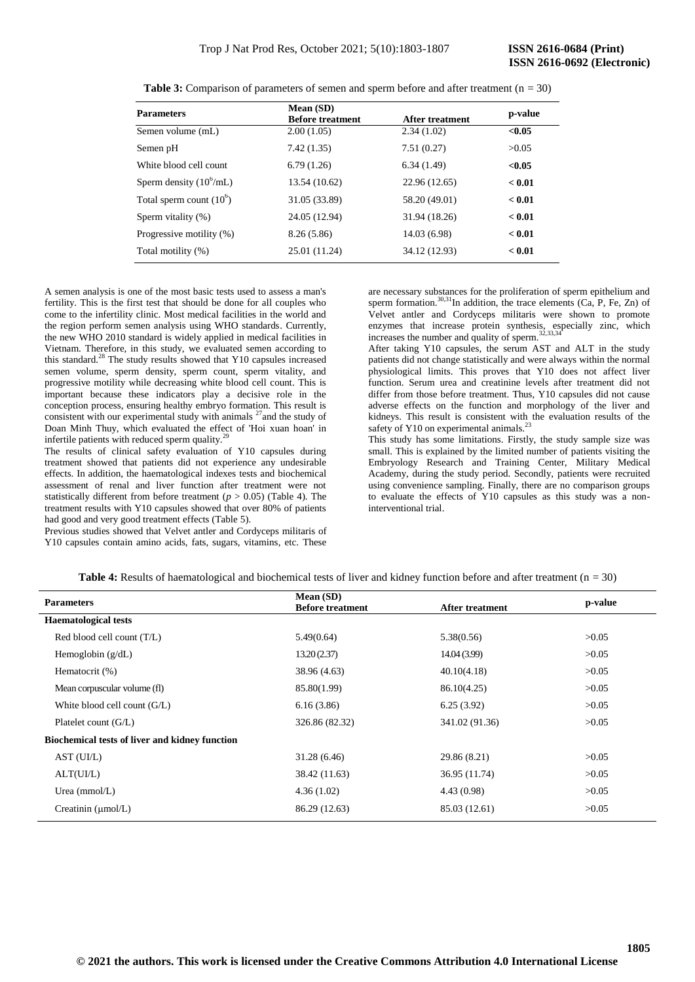| <b>Parameters</b>                 | Mean (SD)<br><b>Before treatment</b> | After treatment | p-value |
|-----------------------------------|--------------------------------------|-----------------|---------|
| Semen volume (mL)                 | 2.00(1.05)                           | 2.34(1.02)      | < 0.05  |
| Semen pH                          | 7.42(1.35)                           | 7.51(0.27)      | >0.05   |
| White blood cell count            | 6.79(1.26)                           | 6.34(1.49)      | < 0.05  |
| Sperm density $(10^6 \text{/mL})$ | 13.54 (10.62)                        | 22.96 (12.65)   | < 0.01  |
| Total sperm count $(10^6)$        | 31.05 (33.89)                        | 58.20 (49.01)   | < 0.01  |
| Sperm vitality (%)                | 24.05 (12.94)                        | 31.94 (18.26)   | < 0.01  |
| Progressive motility (%)          | 8.26(5.86)                           | 14.03 (6.98)    | < 0.01  |
| Total motility (%)                | 25.01 (11.24)                        | 34.12 (12.93)   | < 0.01  |

**Table 3:** Comparison of parameters of semen and sperm before and after treatment (n = 30)

A semen analysis is one of the most basic tests used to assess a man's fertility. This is the first test that should be done for all couples who come to the infertility clinic. Most medical facilities in the world and the region perform semen analysis using WHO standards. Currently, the new WHO 2010 standard is widely applied in medical facilities in Vietnam. Therefore, in this study, we evaluated semen according to this standard.<sup>28</sup> The study results showed that Y10 capsules increased semen volume, sperm density, sperm count, sperm vitality, and progressive motility while decreasing white blood cell count. This is important because these indicators play a decisive role in the conception process, ensuring healthy embryo formation. This result is consistent with our experimental study with animals  $27$  and the study of Doan Minh Thuy, which evaluated the effect of 'Hoi xuan hoan' in infertile patients with reduced sperm quality.

The results of clinical safety evaluation of Y10 capsules during treatment showed that patients did not experience any undesirable effects. In addition, the haematological indexes tests and biochemical assessment of renal and liver function after treatment were not statistically different from before treatment  $(p > 0.05)$  (Table 4). The treatment results with Y10 capsules showed that over 80% of patients had good and very good treatment effects (Table 5).

Previous studies showed that Velvet antler and Cordyceps militaris of Y10 capsules contain amino acids, fats, sugars, vitamins, etc. These

are necessary substances for the proliferation of sperm epithelium and sperm formation.<sup>30,31</sup>In addition, the trace elements (Ca, P, Fe, Zn) of Velvet antler and Cordyceps militaris were shown to promote enzymes that increase protein synthesis, especially zinc, which increases the number and quality of sperm.<sup>32,33,34</sup>

After taking Y10 capsules, the serum AST and ALT in the study patients did not change statistically and were always within the normal physiological limits. This proves that Y10 does not affect liver function. Serum urea and creatinine levels after treatment did not differ from those before treatment. Thus, Y10 capsules did not cause adverse effects on the function and morphology of the liver and kidneys. This result is consistent with the evaluation results of the safety of Y10 on experimental animals. $<sup>2</sup>$ </sup>

This study has some limitations. Firstly, the study sample size was small. This is explained by the limited number of patients visiting the Embryology Research and Training Center, Military Medical Academy, during the study period. Secondly, patients were recruited using convenience sampling. Finally, there are no comparison groups to evaluate the effects of Y10 capsules as this study was a noninterventional trial.

| Mean (SD)<br><b>Before treatment</b> | After treatment | p-value |
|--------------------------------------|-----------------|---------|
|                                      |                 |         |
| 5.49(0.64)                           | 5.38(0.56)      | >0.05   |
| 13.20(2.37)                          | 14.04 (3.99)    | >0.05   |
| 38.96 (4.63)                         | 40.10(4.18)     | >0.05   |
| 85.80(1.99)                          | 86.10(4.25)     | >0.05   |
| 6.16(3.86)                           | 6.25(3.92)      | >0.05   |
| 326.86 (82.32)                       | 341.02 (91.36)  | >0.05   |
|                                      |                 |         |
| 31.28(6.46)                          | 29.86 (8.21)    | >0.05   |
| 38.42 (11.63)                        | 36.95 (11.74)   | >0.05   |
| 4.36(1.02)                           | 4.43(0.98)      | >0.05   |
| 86.29 (12.63)                        | 85.03 (12.61)   | >0.05   |
|                                      |                 |         |

**Table 4:** Results of haematological and biochemical tests of liver and kidney function before and after treatment ( $n = 30$ )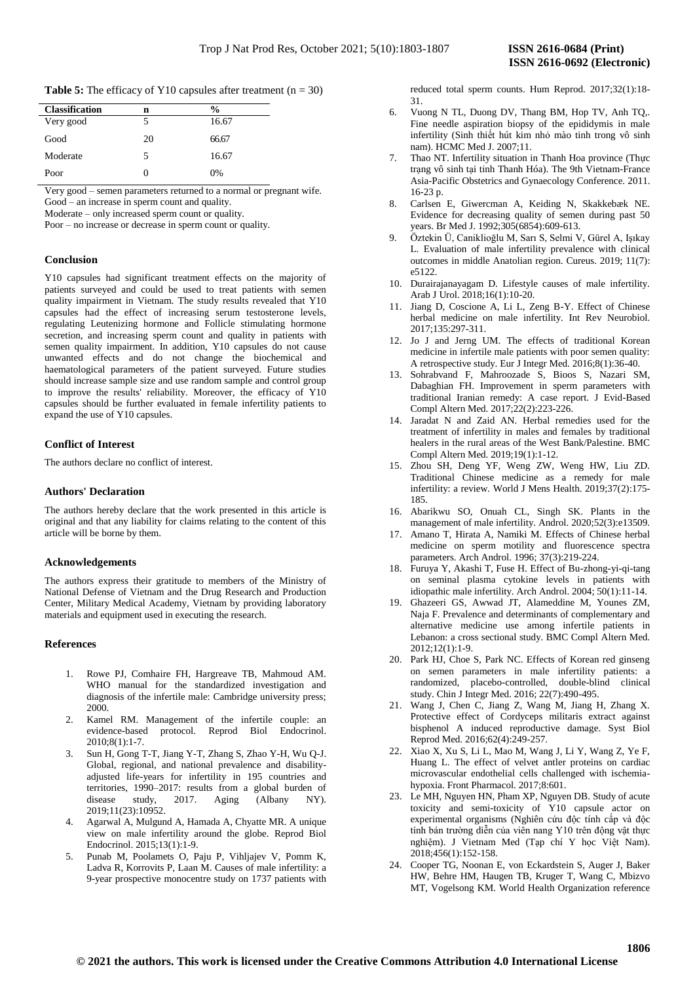**Table 5:** The efficacy of Y10 capsules after treatment  $(n = 30)$ 

| <b>Classification</b> | n  | $\frac{0}{0}$ |
|-----------------------|----|---------------|
| Very good             | 5  | 16.67         |
|                       |    |               |
| Good                  | 20 | 66.67         |
| Moderate              | 5  | 16.67         |
| Poor                  | 0  | 0%            |
|                       |    |               |

Very good – semen parameters returned to a normal or pregnant wife. Good – an increase in sperm count and quality.

Moderate – only increased sperm count or quality.

Poor – no increase or decrease in sperm count or quality*.*

# **Conclusion**

Y10 capsules had significant treatment effects on the majority of patients surveyed and could be used to treat patients with semen quality impairment in Vietnam. The study results revealed that Y10 capsules had the effect of increasing serum testosterone levels, regulating Leutenizing hormone and Follicle stimulating hormone secretion, and increasing sperm count and quality in patients with semen quality impairment. In addition, Y10 capsules do not cause unwanted effects and do not change the biochemical and haematological parameters of the patient surveyed. Future studies should increase sample size and use random sample and control group to improve the results' reliability. Moreover, the efficacy of Y10 capsules should be further evaluated in female infertility patients to expand the use of Y10 capsules.

#### **Conflict of Interest**

The authors declare no conflict of interest.

#### **Authors' Declaration**

The authors hereby declare that the work presented in this article is original and that any liability for claims relating to the content of this article will be borne by them.

#### **Acknowledgements**

The authors express their gratitude to members of the Ministry of National Defense of Vietnam and the Drug Research and Production Center, Military Medical Academy, Vietnam by providing laboratory materials and equipment used in executing the research.

#### **References**

- 1. Rowe PJ, Comhaire FH, Hargreave TB, Mahmoud AM. WHO manual for the standardized investigation and diagnosis of the infertile male: Cambridge university press; 2000.
- 2. Kamel RM. Management of the infertile couple: an evidence-based protocol. Reprod Biol Endocrinol. 2010;8(1):1-7.
- 3. Sun H, Gong T-T, Jiang Y-T, Zhang S, Zhao Y-H, Wu Q-J. Global, regional, and national prevalence and disabilityadjusted life-years for infertility in 195 countries and territories, 1990–2017: results from a global burden of disease study, 2017. Aging (Albany NY). 2019;11(23):10952.
- 4. Agarwal A, Mulgund A, Hamada A, Chyatte MR. A unique view on male infertility around the globe. Reprod Biol Endocrinol. 2015;13(1):1-9.
- 5. Punab M, Poolamets O, Paju P, Vihljajev V, Pomm K, Ladva R, Korrovits P, Laan M. Causes of male infertility: a 9-year prospective monocentre study on 1737 patients with

reduced total sperm counts. Hum Reprod. 2017;32(1):18- 31.

- 6. Vuong N TL, Duong DV, Thang BM, Hop TV, Anh TQ,. Fine needle aspiration biopsy of the epididymis in male infertility (Sinh thiết hút kim nhỏ mào tinh trong vô sinh nam). HCMC Med J. 2007;11.
- 7. Thao NT. Infertility situation in Thanh Hoa province (Thực trạng vô sinh tại tỉnh Thanh Hóa). The 9th Vietnam-France Asia-Pacific Obstetrics and Gynaecology Conference. 2011. 16-23 p.
- 8. Carlsen E, Giwercman A, Keiding N, Skakkebæk NE. Evidence for decreasing quality of semen during past 50 years. Br Med J. 1992;305(6854):609-613.
- 9. Öztekin Ü, Caniklioğlu M, Sarı S, Selmi V, Gürel A, Işıkay L. Evaluation of male infertility prevalence with clinical outcomes in middle Anatolian region. Cureus. 2019; 11(7): e5122.
- 10. Durairajanayagam D. Lifestyle causes of male infertility. Arab J Urol. 2018;16(1):10-20.
- 11. Jiang D, Coscione A, Li L, Zeng B-Y. Effect of Chinese herbal medicine on male infertility. Int Rev Neurobiol. 2017;135:297-311.
- 12. Jo J and Jerng UM. The effects of traditional Korean medicine in infertile male patients with poor semen quality: A retrospective study. Eur J Integr Med. 2016;8(1):36-40.
- 13. Sohrabvand F, Mahroozade S, Bioos S, Nazari SM, Dabaghian FH. Improvement in sperm parameters with traditional Iranian remedy: A case report. J Evid-Based Compl Altern Med. 2017;22(2):223-226.
- 14. Jaradat N and Zaid AN. Herbal remedies used for the treatment of infertility in males and females by traditional healers in the rural areas of the West Bank/Palestine. BMC Compl Altern Med. 2019;19(1):1-12.
- 15. Zhou SH, Deng YF, Weng ZW, Weng HW, Liu ZD. Traditional Chinese medicine as a remedy for male infertility: a review. World J Mens Health. 2019;37(2):175- 185.
- 16. Abarikwu SO, Onuah CL, Singh SK. Plants in the management of male infertility. Androl. 2020;52(3):e13509.
- 17. Amano T, Hirata A, Namiki M. Effects of Chinese herbal medicine on sperm motility and fluorescence spectra parameters. Arch Androl. 1996; 37(3):219-224.
- 18. Furuya Y, Akashi T, Fuse H. Effect of Bu-zhong-yi-qi-tang on seminal plasma cytokine levels in patients with idiopathic male infertility. Arch Androl. 2004; 50(1):11-14.
- 19. Ghazeeri GS, Awwad JT, Alameddine M, Younes ZM, Naja F. Prevalence and determinants of complementary and alternative medicine use among infertile patients in Lebanon: a cross sectional study. BMC Compl Altern Med. 2012;12(1):1-9.
- 20. Park HJ, Choe S, Park NC. Effects of Korean red ginseng on semen parameters in male infertility patients: a randomized, placebo-controlled, double-blind clinical study. Chin J Integr Med. 2016; 22(7):490-495.
- 21. Wang J, Chen C, Jiang Z, Wang M, Jiang H, Zhang X. Protective effect of Cordyceps militaris extract against bisphenol A induced reproductive damage. Syst Biol Reprod Med. 2016;62(4):249-257.
- 22. Xiao X, Xu S, Li L, Mao M, Wang J, Li Y, Wang Z, Ye F, Huang L. The effect of velvet antler proteins on cardiac microvascular endothelial cells challenged with ischemiahypoxia. Front Pharmacol. 2017;8:601.
- 23. Le MH, Nguyen HN, Pham XP, Nguyen DB. Study of acute toxicity and semi-toxicity of Y10 capsule actor on experimental organisms (Nghiên cứu độc tính cấp và độc tính bán trường diễn của viên nang Y10 trên động vật thực nghiệm). J Vietnam Med (Tạp chí Y học Việt Nam). 2018;456(1):152-158.
- 24. Cooper TG, Noonan E, von Eckardstein S, Auger J, Baker HW, Behre HM, Haugen TB, Kruger T, Wang C, Mbizvo MT, Vogelsong KM. World Health Organization reference